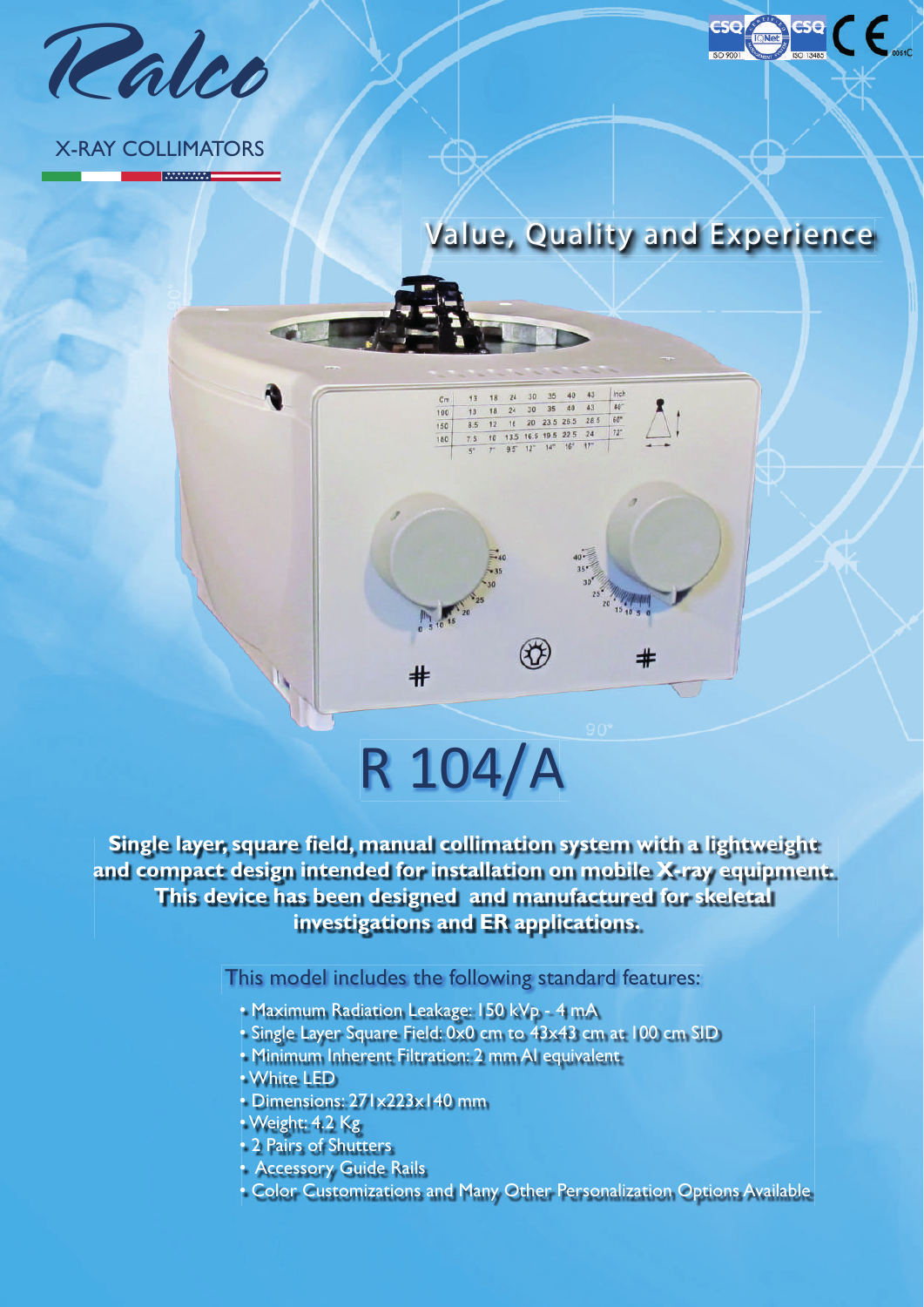

### X-RAY COLLIMATORS

**MANAWAT** 



Inch

#

## $#$ R 104/A

13 18 24 30 35 40 43

 $\begin{array}{ccccccccc}\n8.5 & 12 & 16 & 20 & 23 & 22 & 5 & 24 \\
\hline\n7.5 & 10 & 13.5 & 16.5 & 19.5 & 22.5 & 24 \\
\hline\n8^+ & 7^+ & 9.5^- & 12^+ & 14^+ & 16^+ & 17^+ \\
\end{array}$ 

 $\mathcal{R}$ 

 $\begin{array}{ccccccccc}\n13 & 18 & 24 & 30 & 35 & 40 & 43 & 40 \\
8.5 & 12 & 16 & 20 & 23.5 & 26.5 & 28.5 & 60 \\
\hline\n\end{array}$ 

 $-35$   $40$   $43$ 

 $\overline{C}$ m

 $100$ 

150

180

 $13$ 18 24

**Single layer, square field, manual collimation system with a lightweight and compact design intended for installation on mobile X-ray equipment. This device has been designed and manufactured for skeletal investigations and ER applications.**

This model includes the following standard features:

- Maximum Radiation Leakage: 150 kVp 4 mA
- Single Layer Square Field: 0x0 cm to 43x43 cm at 100 cm SID
- Minimum Inherent Filtration: 2 mm Al equivalent
- White LED
- Dimensions: 271x223x140 mm
- Weight: 4.2 Kg
- 2 Pairs of Shutters
- Accessory Guide Rails
- Color Customizations and Many Other Personalization Options Available